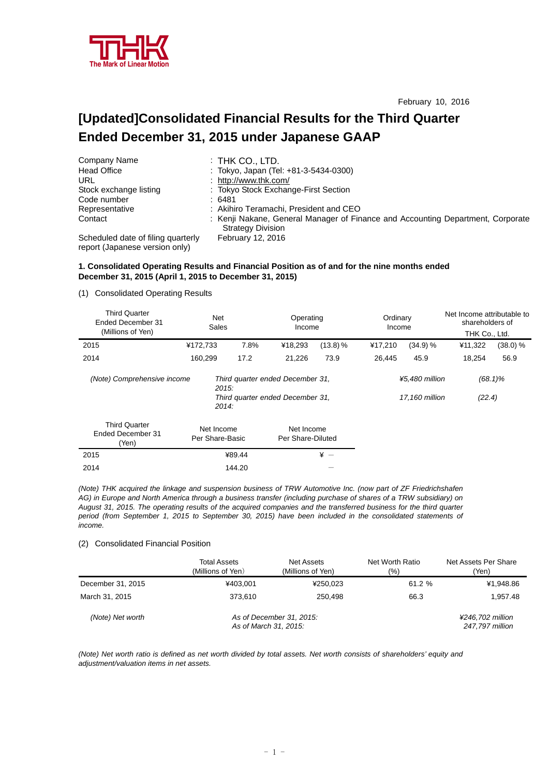

# **[Updated]Consolidated Financial Results for the Third Quarter Ended December 31, 2015 under Japanese GAAP**

| Company Name                                                         | $:$ THK CO., LTD.                                                                                           |
|----------------------------------------------------------------------|-------------------------------------------------------------------------------------------------------------|
| <b>Head Office</b>                                                   | : Tokyo, Japan (Tel: +81-3-5434-0300)                                                                       |
| URL                                                                  | : http://www.thk.com/                                                                                       |
| Stock exchange listing                                               | : Tokyo Stock Exchange-First Section                                                                        |
| Code number                                                          | :6481                                                                                                       |
| Representative                                                       | : Akihiro Teramachi, President and CEO                                                                      |
| Contact                                                              | : Kenji Nakane, General Manager of Finance and Accounting Department, Corporate<br><b>Strategy Division</b> |
| Scheduled date of filing quarterly<br>report (Japanese version only) | <b>February 12, 2016</b>                                                                                    |

**1. Consolidated Operating Results and Financial Position as of and for the nine months ended December 31, 2015 (April 1, 2015 to December 31, 2015)**

(1) Consolidated Operating Results

| <b>Third Quarter</b><br>Ended December 31<br>(Millions of Yen) | Net<br><b>Sales</b>           |        | Operating<br>Income                                                  |            | Ordinary<br>Income |                                  | Net Income attributable to<br>shareholders of<br>THK Co., Ltd. |            |
|----------------------------------------------------------------|-------------------------------|--------|----------------------------------------------------------------------|------------|--------------------|----------------------------------|----------------------------------------------------------------|------------|
| 2015                                                           | ¥172,733                      | 7.8%   | ¥18,293                                                              | $(13.8)$ % | ¥17,210            | (34.9) %                         | ¥11,322                                                        | (38.0) %   |
| 2014                                                           | 160,299                       | 17.2   | 21,226                                                               | 73.9       | 26.445             | 45.9                             | 18.254                                                         | 56.9       |
| (Note) Comprehensive income                                    | 2015.<br>2014:                |        | Third quarter ended December 31,<br>Third quarter ended December 31, |            |                    | ¥5.480 million<br>17,160 million | (22.4)                                                         | $(68.1)\%$ |
| <b>Third Quarter</b><br>Ended December 31<br>(Yen)             | Net Income<br>Per Share-Basic |        | Net Income<br>Per Share-Diluted                                      |            |                    |                                  |                                                                |            |
| 2015                                                           |                               | ¥89.44 |                                                                      | $* -$      |                    |                                  |                                                                |            |
| 2014                                                           |                               | 144.20 |                                                                      |            |                    |                                  |                                                                |            |

*(Note) THK acquired the linkage and suspension business of TRW Automotive Inc. (now part of ZF Friedrichshafen AG) in Europe and North America through a business transfer (including purchase of shares of a TRW subsidiary) on August 31, 2015. The operating results of the acquired companies and the transferred business for the third quarter period (from September 1, 2015 to September 30, 2015) have been included in the consolidated statements of income.* 

#### (2) Consolidated Financial Position

|                   | Total Assets<br>(Millions of Yen) | Net Assets<br>(Millions of Yen)                   | Net Worth Ratio<br>(%) | Net Assets Per Share<br>(Yen)       |
|-------------------|-----------------------------------|---------------------------------------------------|------------------------|-------------------------------------|
| December 31, 2015 | ¥403.001                          | ¥250,023                                          | 61.2 %                 | ¥1,948.86                           |
| March 31, 2015    | 373.610                           | 250.498                                           | 66.3                   | 1,957.48                            |
| (Note) Net worth  |                                   | As of December 31, 2015:<br>As of March 31, 2015: |                        | ¥246.702 million<br>247.797 million |

*(Note) Net worth ratio is defined as net worth divided by total assets. Net worth consists of shareholders' equity and adjustment/valuation items in net assets.*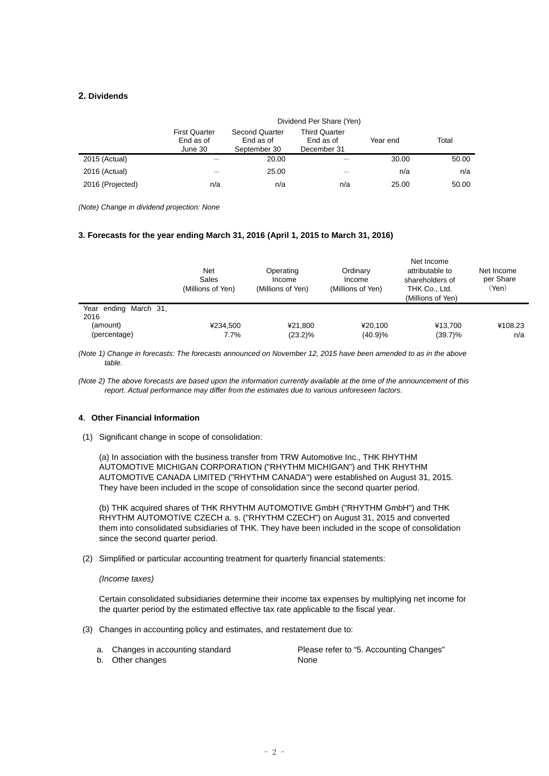### **2. Dividends**

|                  | Dividend Per Share (Yen)                     |                                                    |                                                  |          |       |  |  |  |  |
|------------------|----------------------------------------------|----------------------------------------------------|--------------------------------------------------|----------|-------|--|--|--|--|
|                  | <b>First Quarter</b><br>End as of<br>June 30 | <b>Second Quarter</b><br>End as of<br>September 30 | <b>Third Quarter</b><br>End as of<br>December 31 | Year end | Total |  |  |  |  |
| 2015 (Actual)    |                                              | 20.00                                              |                                                  | 30.00    | 50.00 |  |  |  |  |
| 2016 (Actual)    |                                              | 25.00                                              |                                                  | n/a      | n/a   |  |  |  |  |
| 2016 (Projected) | n/a                                          | n/a                                                | n/a                                              | 25.00    | 50.00 |  |  |  |  |

*(Note) Change in dividend projection: None* 

### **3. Forecasts for the year ending March 31, 2016 (April 1, 2015 to March 31, 2016)**

|                                                           | Net<br>Sales<br>(Millions of Yen) | Operating<br>Income<br>(Millions of Yen) | Ordinary<br>Income<br>(Millions of Yen) | Net Income<br>attributable to<br>shareholders of<br>THK Co., Ltd.<br>(Millions of Yen) | Net Income<br>per Share<br>(Yen) |
|-----------------------------------------------------------|-----------------------------------|------------------------------------------|-----------------------------------------|----------------------------------------------------------------------------------------|----------------------------------|
| Year ending March 31,<br>2016<br>(amount)<br>(percentage) | ¥234.500<br>7.7%                  | ¥21.800<br>$(23.2)\%$                    | ¥20.100<br>(40.9)%                      | ¥13.700<br>$(39.7)\%$                                                                  | ¥108.23<br>n/a                   |

*(Note 1) Change in forecasts: The forecasts announced on November 12, 2015 have been amended to as in the above table.* 

*(Note 2) The above forecasts are based upon the information currently available at the time of the announcement of this report. Actual performance may differ from the estimates due to various unforeseen factors.* 

# **4**.**Other Financial Information**

(1) Significant change in scope of consolidation:

(a) In association with the business transfer from TRW Automotive Inc., THK RHYTHM AUTOMOTIVE MICHIGAN CORPORATION ("RHYTHM MICHIGAN") and THK RHYTHM AUTOMOTIVE CANADA LIMITED ("RHYTHM CANADA") were established on August 31, 2015. They have been included in the scope of consolidation since the second quarter period.

(b) THK acquired shares of THK RHYTHM AUTOMOTIVE GmbH ("RHYTHM GmbH") and THK RHYTHM AUTOMOTIVE CZECH a. s. ("RHYTHM CZECH") on August 31, 2015 and converted them into consolidated subsidiaries of THK. They have been included in the scope of consolidation since the second quarter period.

(2) Simplified or particular accounting treatment for quarterly financial statements:

*(Income taxes)*

Certain consolidated subsidiaries determine their income tax expenses by multiplying net income for the quarter period by the estimated effective tax rate applicable to the fiscal year.

- (3) Changes in accounting policy and estimates, and restatement due to:
	-

a. Changes in accounting standard Please refer to "5. Accounting Changes"

b. Other changes None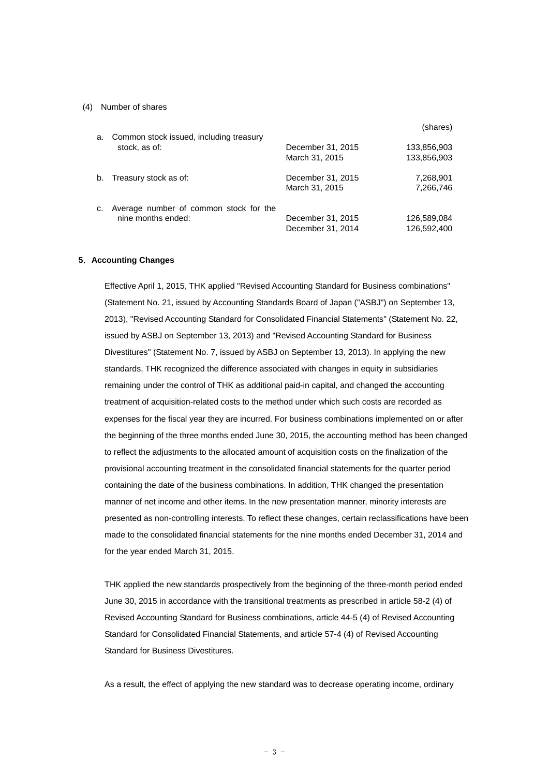#### (4) Number of shares

| a. | Common stock issued, including treasury                      |                                        | (shares)                   |
|----|--------------------------------------------------------------|----------------------------------------|----------------------------|
|    | stock, as of:                                                | December 31, 2015<br>March 31, 2015    | 133,856,903<br>133,856,903 |
| b. | Treasury stock as of:                                        | December 31, 2015<br>March 31, 2015    | 7,268,901<br>7,266,746     |
| c. | Average number of common stock for the<br>nine months ended: | December 31, 2015<br>December 31, 2014 | 126,589,084<br>126,592,400 |

#### **5**.**Accounting Changes**

Effective April 1, 2015, THK applied "Revised Accounting Standard for Business combinations" (Statement No. 21, issued by Accounting Standards Board of Japan ("ASBJ") on September 13, 2013), "Revised Accounting Standard for Consolidated Financial Statements" (Statement No. 22, issued by ASBJ on September 13, 2013) and "Revised Accounting Standard for Business Divestitures" (Statement No. 7, issued by ASBJ on September 13, 2013). In applying the new standards, THK recognized the difference associated with changes in equity in subsidiaries remaining under the control of THK as additional paid-in capital, and changed the accounting treatment of acquisition-related costs to the method under which such costs are recorded as expenses for the fiscal year they are incurred. For business combinations implemented on or after the beginning of the three months ended June 30, 2015, the accounting method has been changed to reflect the adjustments to the allocated amount of acquisition costs on the finalization of the provisional accounting treatment in the consolidated financial statements for the quarter period containing the date of the business combinations. In addition, THK changed the presentation manner of net income and other items. In the new presentation manner, minority interests are presented as non-controlling interests. To reflect these changes, certain reclassifications have been made to the consolidated financial statements for the nine months ended December 31, 2014 and for the year ended March 31, 2015.

THK applied the new standards prospectively from the beginning of the three-month period ended June 30, 2015 in accordance with the transitional treatments as prescribed in article 58-2 (4) of Revised Accounting Standard for Business combinations, article 44-5 (4) of Revised Accounting Standard for Consolidated Financial Statements, and article 57-4 (4) of Revised Accounting Standard for Business Divestitures.

As a result, the effect of applying the new standard was to decrease operating income, ordinary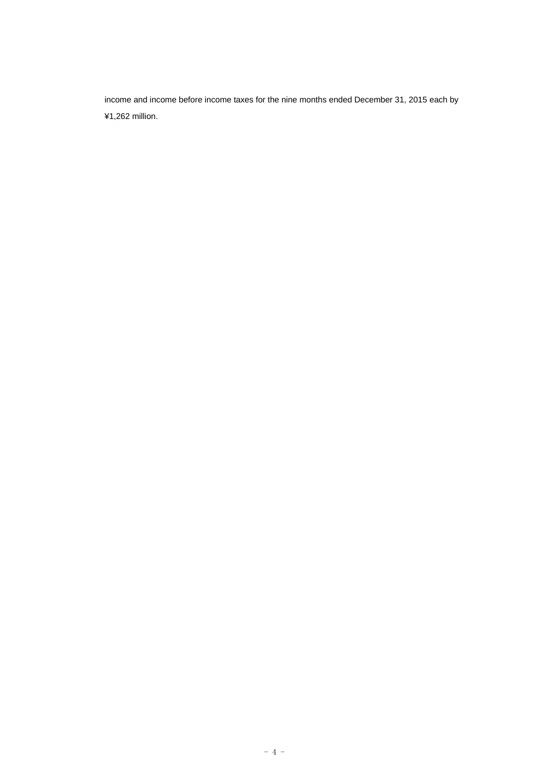income and income before income taxes for the nine months ended December 31, 2015 each by ¥1,262 million.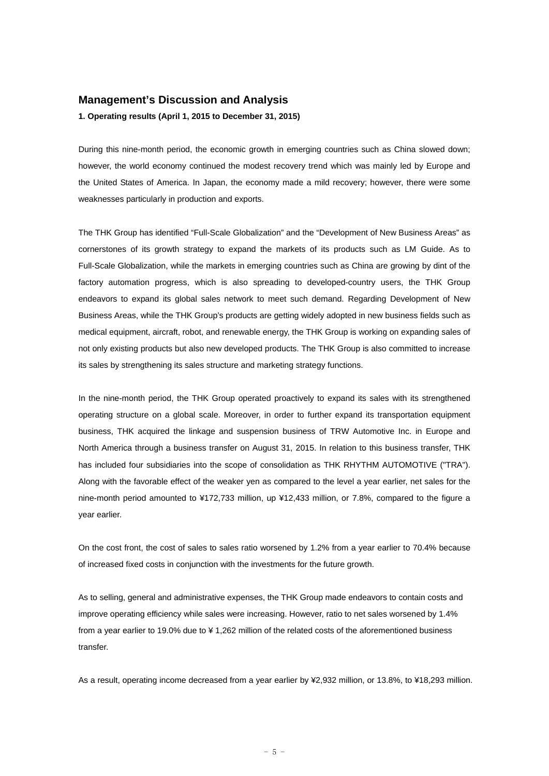### **Management's Discussion and Analysis**

**1. Operating results (April 1, 2015 to December 31, 2015)** 

During this nine-month period, the economic growth in emerging countries such as China slowed down; however, the world economy continued the modest recovery trend which was mainly led by Europe and the United States of America. In Japan, the economy made a mild recovery; however, there were some weaknesses particularly in production and exports.

The THK Group has identified "Full-Scale Globalization" and the "Development of New Business Areas" as cornerstones of its growth strategy to expand the markets of its products such as LM Guide. As to Full-Scale Globalization, while the markets in emerging countries such as China are growing by dint of the factory automation progress, which is also spreading to developed-country users, the THK Group endeavors to expand its global sales network to meet such demand. Regarding Development of New Business Areas, while the THK Group's products are getting widely adopted in new business fields such as medical equipment, aircraft, robot, and renewable energy, the THK Group is working on expanding sales of not only existing products but also new developed products. The THK Group is also committed to increase its sales by strengthening its sales structure and marketing strategy functions.

In the nine-month period, the THK Group operated proactively to expand its sales with its strengthened operating structure on a global scale. Moreover, in order to further expand its transportation equipment business, THK acquired the linkage and suspension business of TRW Automotive Inc. in Europe and North America through a business transfer on August 31, 2015. In relation to this business transfer, THK has included four subsidiaries into the scope of consolidation as THK RHYTHM AUTOMOTIVE ("TRA"). Along with the favorable effect of the weaker yen as compared to the level a year earlier, net sales for the nine-month period amounted to ¥172,733 million, up ¥12,433 million, or 7.8%, compared to the figure a year earlier.

On the cost front, the cost of sales to sales ratio worsened by 1.2% from a year earlier to 70.4% because of increased fixed costs in conjunction with the investments for the future growth.

As to selling, general and administrative expenses, the THK Group made endeavors to contain costs and improve operating efficiency while sales were increasing. However, ratio to net sales worsened by 1.4% from a year earlier to 19.0% due to ¥ 1,262 million of the related costs of the aforementioned business transfer.

As a result, operating income decreased from a year earlier by ¥2,932 million, or 13.8%, to ¥18,293 million.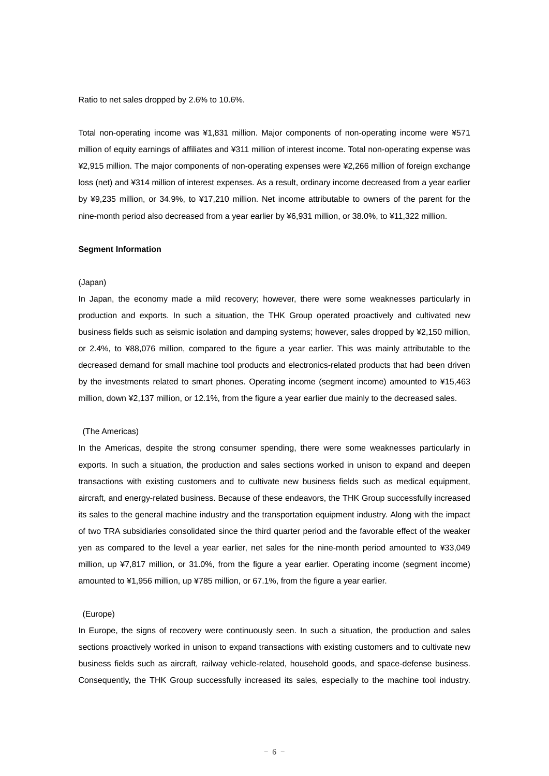Ratio to net sales dropped by 2.6% to 10.6%.

Total non-operating income was ¥1,831 million. Major components of non-operating income were ¥571 million of equity earnings of affiliates and ¥311 million of interest income. Total non-operating expense was ¥2,915 million. The major components of non-operating expenses were ¥2,266 million of foreign exchange loss (net) and ¥314 million of interest expenses. As a result, ordinary income decreased from a year earlier by ¥9,235 million, or 34.9%, to ¥17,210 million. Net income attributable to owners of the parent for the nine-month period also decreased from a year earlier by ¥6,931 million, or 38.0%, to ¥11,322 million.

#### **Segment Information**

#### (Japan)

In Japan, the economy made a mild recovery; however, there were some weaknesses particularly in production and exports. In such a situation, the THK Group operated proactively and cultivated new business fields such as seismic isolation and damping systems; however, sales dropped by ¥2,150 million, or 2.4%, to ¥88,076 million, compared to the figure a year earlier. This was mainly attributable to the decreased demand for small machine tool products and electronics-related products that had been driven by the investments related to smart phones. Operating income (segment income) amounted to ¥15,463 million, down ¥2,137 million, or 12.1%, from the figure a year earlier due mainly to the decreased sales.

#### (The Americas)

In the Americas, despite the strong consumer spending, there were some weaknesses particularly in exports. In such a situation, the production and sales sections worked in unison to expand and deepen transactions with existing customers and to cultivate new business fields such as medical equipment, aircraft, and energy-related business. Because of these endeavors, the THK Group successfully increased its sales to the general machine industry and the transportation equipment industry. Along with the impact of two TRA subsidiaries consolidated since the third quarter period and the favorable effect of the weaker yen as compared to the level a year earlier, net sales for the nine-month period amounted to ¥33,049 million, up ¥7,817 million, or 31.0%, from the figure a year earlier. Operating income (segment income) amounted to ¥1,956 million, up ¥785 million, or 67.1%, from the figure a year earlier.

#### (Europe)

In Europe, the signs of recovery were continuously seen. In such a situation, the production and sales sections proactively worked in unison to expand transactions with existing customers and to cultivate new business fields such as aircraft, railway vehicle-related, household goods, and space-defense business. Consequently, the THK Group successfully increased its sales, especially to the machine tool industry.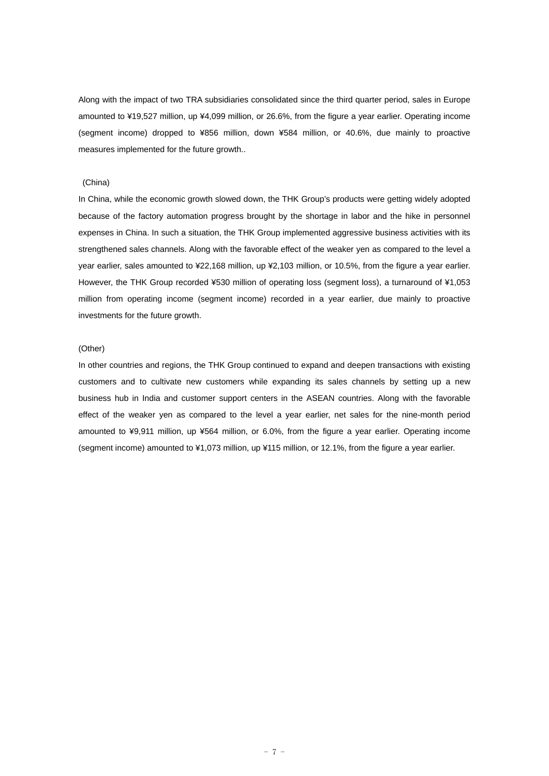Along with the impact of two TRA subsidiaries consolidated since the third quarter period, sales in Europe amounted to ¥19,527 million, up ¥4,099 million, or 26.6%, from the figure a year earlier. Operating income (segment income) dropped to ¥856 million, down ¥584 million, or 40.6%, due mainly to proactive measures implemented for the future growth..

#### (China)

In China, while the economic growth slowed down, the THK Group's products were getting widely adopted because of the factory automation progress brought by the shortage in labor and the hike in personnel expenses in China. In such a situation, the THK Group implemented aggressive business activities with its strengthened sales channels. Along with the favorable effect of the weaker yen as compared to the level a year earlier, sales amounted to ¥22,168 million, up ¥2,103 million, or 10.5%, from the figure a year earlier. However, the THK Group recorded ¥530 million of operating loss (segment loss), a turnaround of ¥1,053 million from operating income (segment income) recorded in a year earlier, due mainly to proactive investments for the future growth.

#### (Other)

In other countries and regions, the THK Group continued to expand and deepen transactions with existing customers and to cultivate new customers while expanding its sales channels by setting up a new business hub in India and customer support centers in the ASEAN countries. Along with the favorable effect of the weaker yen as compared to the level a year earlier, net sales for the nine-month period amounted to ¥9,911 million, up ¥564 million, or 6.0%, from the figure a year earlier. Operating income (segment income) amounted to ¥1,073 million, up ¥115 million, or 12.1%, from the figure a year earlier.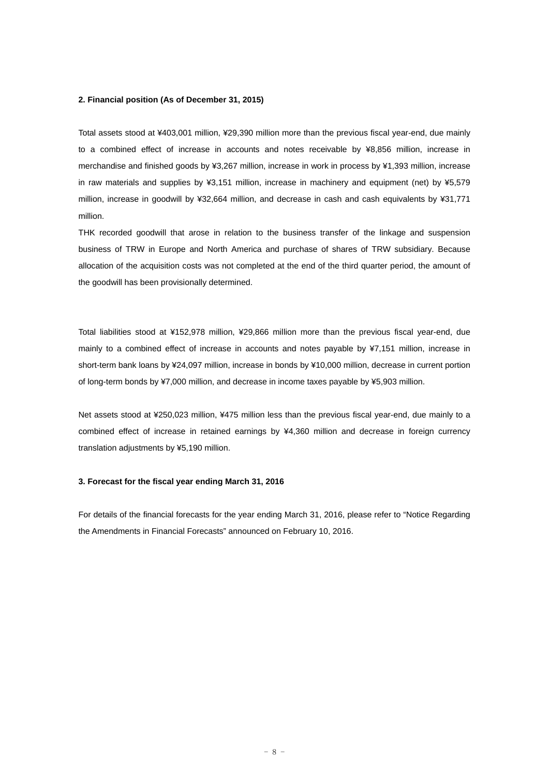#### **2. Financial position (As of December 31, 2015)**

Total assets stood at ¥403,001 million, ¥29,390 million more than the previous fiscal year-end, due mainly to a combined effect of increase in accounts and notes receivable by ¥8,856 million, increase in merchandise and finished goods by ¥3,267 million, increase in work in process by ¥1,393 million, increase in raw materials and supplies by ¥3,151 million, increase in machinery and equipment (net) by ¥5,579 million, increase in goodwill by ¥32,664 million, and decrease in cash and cash equivalents by ¥31,771 million.

THK recorded goodwill that arose in relation to the business transfer of the linkage and suspension business of TRW in Europe and North America and purchase of shares of TRW subsidiary. Because allocation of the acquisition costs was not completed at the end of the third quarter period, the amount of the goodwill has been provisionally determined.

Total liabilities stood at ¥152,978 million, ¥29,866 million more than the previous fiscal year-end, due mainly to a combined effect of increase in accounts and notes payable by ¥7,151 million, increase in short-term bank loans by ¥24,097 million, increase in bonds by ¥10,000 million, decrease in current portion of long-term bonds by ¥7,000 million, and decrease in income taxes payable by ¥5,903 million.

Net assets stood at ¥250,023 million, ¥475 million less than the previous fiscal year-end, due mainly to a combined effect of increase in retained earnings by ¥4,360 million and decrease in foreign currency translation adjustments by ¥5,190 million.

#### **3. Forecast for the fiscal year ending March 31, 2016**

For details of the financial forecasts for the year ending March 31, 2016, please refer to "Notice Regarding the Amendments in Financial Forecasts" announced on February 10, 2016.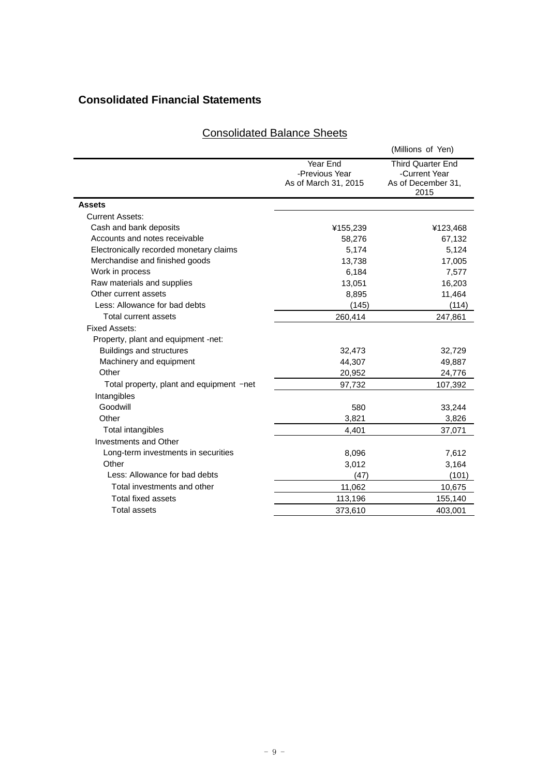# **Consolidated Financial Statements**

|                                          |                                                    | (Millions of Yen)                                                       |
|------------------------------------------|----------------------------------------------------|-------------------------------------------------------------------------|
|                                          | Year End<br>-Previous Year<br>As of March 31, 2015 | <b>Third Quarter End</b><br>-Current Year<br>As of December 31,<br>2015 |
| <b>Assets</b>                            |                                                    |                                                                         |
| <b>Current Assets:</b>                   |                                                    |                                                                         |
| Cash and bank deposits                   | ¥155,239                                           | ¥123,468                                                                |
| Accounts and notes receivable            | 58,276                                             | 67,132                                                                  |
| Electronically recorded monetary claims  | 5,174                                              | 5,124                                                                   |
| Merchandise and finished goods           | 13,738                                             | 17,005                                                                  |
| Work in process                          | 6,184                                              | 7,577                                                                   |
| Raw materials and supplies               | 13,051                                             | 16,203                                                                  |
| Other current assets                     | 8,895                                              | 11,464                                                                  |
| Less: Allowance for bad debts            | (145)                                              | (114)                                                                   |
| Total current assets                     | 260,414                                            | 247,861                                                                 |
| <b>Fixed Assets:</b>                     |                                                    |                                                                         |
| Property, plant and equipment -net:      |                                                    |                                                                         |
| <b>Buildings and structures</b>          | 32,473                                             | 32,729                                                                  |
| Machinery and equipment                  | 44,307                                             | 49,887                                                                  |
| Other                                    | 20,952                                             | 24,776                                                                  |
| Total property, plant and equipment -net | 97,732                                             | 107,392                                                                 |
| Intangibles                              |                                                    |                                                                         |
| Goodwill                                 | 580                                                | 33,244                                                                  |
| Other                                    | 3,821                                              | 3,826                                                                   |
| Total intangibles                        | 4,401                                              | 37,071                                                                  |
| Investments and Other                    |                                                    |                                                                         |
| Long-term investments in securities      | 8,096                                              | 7,612                                                                   |
| Other                                    | 3,012                                              | 3,164                                                                   |
| Less: Allowance for bad debts            | (47)                                               | (101)                                                                   |
| Total investments and other              | 11,062                                             | 10,675                                                                  |
| Total fixed assets                       | 113,196                                            | 155,140                                                                 |
| <b>Total assets</b>                      | 373,610                                            | 403,001                                                                 |

# Consolidated Balance Sheets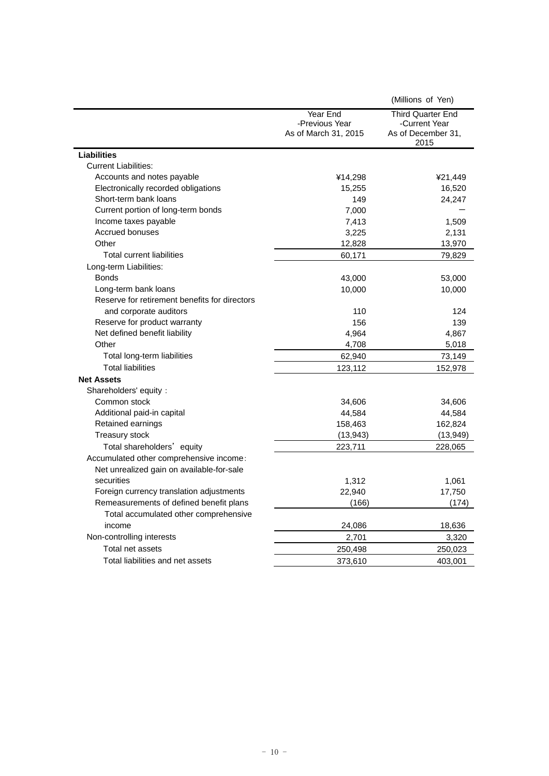|                                               |                                                    | (Millions of Yen)                                                       |
|-----------------------------------------------|----------------------------------------------------|-------------------------------------------------------------------------|
|                                               | Year End<br>-Previous Year<br>As of March 31, 2015 | <b>Third Quarter End</b><br>-Current Year<br>As of December 31,<br>2015 |
| <b>Liabilities</b>                            |                                                    |                                                                         |
| <b>Current Liabilities:</b>                   |                                                    |                                                                         |
| Accounts and notes payable                    | ¥14,298                                            | ¥21,449                                                                 |
| Electronically recorded obligations           | 15,255                                             | 16,520                                                                  |
| Short-term bank loans                         | 149                                                | 24,247                                                                  |
| Current portion of long-term bonds            | 7,000                                              |                                                                         |
| Income taxes payable                          | 7,413                                              | 1,509                                                                   |
| Accrued bonuses                               | 3,225                                              | 2,131                                                                   |
| Other                                         | 12,828                                             | 13,970                                                                  |
| Total current liabilities                     | 60,171                                             | 79,829                                                                  |
| Long-term Liabilities:                        |                                                    |                                                                         |
| <b>Bonds</b>                                  | 43,000                                             | 53,000                                                                  |
| Long-term bank loans                          | 10,000                                             | 10,000                                                                  |
| Reserve for retirement benefits for directors |                                                    |                                                                         |
| and corporate auditors                        | 110                                                | 124                                                                     |
| Reserve for product warranty                  | 156                                                | 139                                                                     |
| Net defined benefit liability                 | 4,964                                              | 4,867                                                                   |
| Other                                         | 4,708                                              | 5,018                                                                   |
| Total long-term liabilities                   | 62,940                                             | 73,149                                                                  |
| <b>Total liabilities</b>                      | 123,112                                            | 152,978                                                                 |
| <b>Net Assets</b>                             |                                                    |                                                                         |
| Shareholders' equity:                         |                                                    |                                                                         |
| Common stock                                  | 34,606                                             | 34,606                                                                  |
| Additional paid-in capital                    | 44,584                                             | 44,584                                                                  |
| Retained earnings                             | 158,463                                            | 162,824                                                                 |
| Treasury stock                                | (13, 943)                                          | (13, 949)                                                               |
| Total shareholders' equity                    | 223,711                                            | 228,065                                                                 |
| Accumulated other comprehensive income:       |                                                    |                                                                         |
| Net unrealized gain on available-for-sale     |                                                    |                                                                         |
| securities                                    | 1,312                                              | 1,061                                                                   |
| Foreign currency translation adjustments      | 22,940                                             | 17,750                                                                  |
| Remeasurements of defined benefit plans       | (166)                                              | (174)                                                                   |
| Total accumulated other comprehensive         |                                                    |                                                                         |
| income                                        | 24,086                                             | 18,636                                                                  |
| Non-controlling interests                     | 2,701                                              | 3,320                                                                   |
| Total net assets                              | 250,498                                            | 250,023                                                                 |
| Total liabilities and net assets              | 373,610                                            | 403,001                                                                 |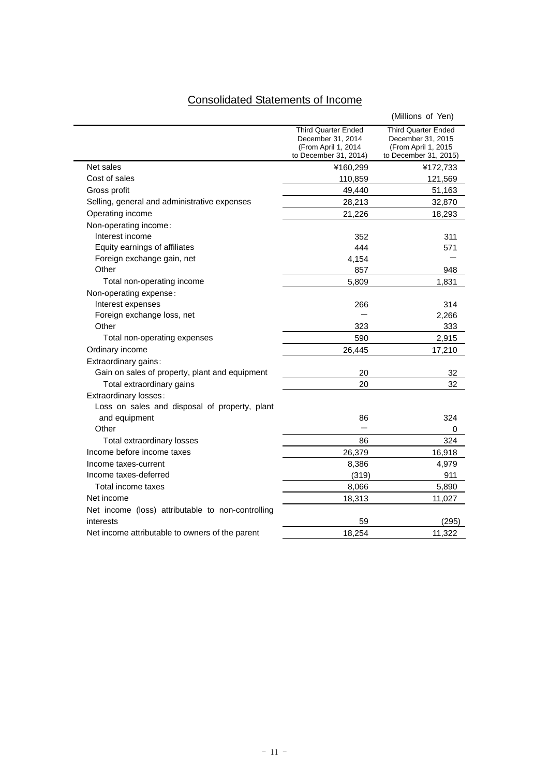# Consolidated Statements of Income

|                                                   |                                                                                          | (Millions of Yen)                                                                        |
|---------------------------------------------------|------------------------------------------------------------------------------------------|------------------------------------------------------------------------------------------|
|                                                   | Third Quarter Ended<br>December 31, 2014<br>(From April 1, 2014<br>to December 31, 2014) | Third Quarter Ended<br>December 31, 2015<br>(From April 1, 2015<br>to December 31, 2015) |
| Net sales                                         | ¥160,299                                                                                 | ¥172,733                                                                                 |
| Cost of sales                                     | 110,859                                                                                  | 121,569                                                                                  |
| Gross profit                                      | 49,440                                                                                   | 51,163                                                                                   |
| Selling, general and administrative expenses      | 28,213                                                                                   | 32,870                                                                                   |
| Operating income                                  | 21,226                                                                                   | 18,293                                                                                   |
| Non-operating income:                             |                                                                                          |                                                                                          |
| Interest income                                   | 352                                                                                      | 311                                                                                      |
| Equity earnings of affiliates                     | 444                                                                                      | 571                                                                                      |
| Foreign exchange gain, net                        | 4,154                                                                                    |                                                                                          |
| Other                                             | 857                                                                                      | 948                                                                                      |
| Total non-operating income                        | 5,809                                                                                    | 1,831                                                                                    |
| Non-operating expense:                            |                                                                                          |                                                                                          |
| Interest expenses                                 | 266                                                                                      | 314                                                                                      |
| Foreign exchange loss, net                        |                                                                                          | 2,266                                                                                    |
| Other                                             | 323                                                                                      | 333                                                                                      |
| Total non-operating expenses                      | 590                                                                                      | 2,915                                                                                    |
| Ordinary income                                   | 26,445                                                                                   | 17,210                                                                                   |
| Extraordinary gains:                              |                                                                                          |                                                                                          |
| Gain on sales of property, plant and equipment    | 20                                                                                       | 32                                                                                       |
| Total extraordinary gains                         | 20                                                                                       | 32                                                                                       |
| Extraordinary losses:                             |                                                                                          |                                                                                          |
| Loss on sales and disposal of property, plant     |                                                                                          |                                                                                          |
| and equipment                                     | 86                                                                                       | 324                                                                                      |
| Other                                             |                                                                                          | 0                                                                                        |
| Total extraordinary losses                        | 86                                                                                       | 324                                                                                      |
| Income before income taxes                        | 26,379                                                                                   | 16,918                                                                                   |
| Income taxes-current                              | 8,386                                                                                    | 4,979                                                                                    |
| Income taxes-deferred                             | (319)                                                                                    | 911                                                                                      |
| Total income taxes                                | 8,066                                                                                    | 5,890                                                                                    |
| Net income                                        | 18,313                                                                                   | 11,027                                                                                   |
| Net income (loss) attributable to non-controlling |                                                                                          |                                                                                          |
| interests                                         | 59                                                                                       | (295)                                                                                    |
| Net income attributable to owners of the parent   | 18,254                                                                                   | 11,322                                                                                   |
|                                                   |                                                                                          |                                                                                          |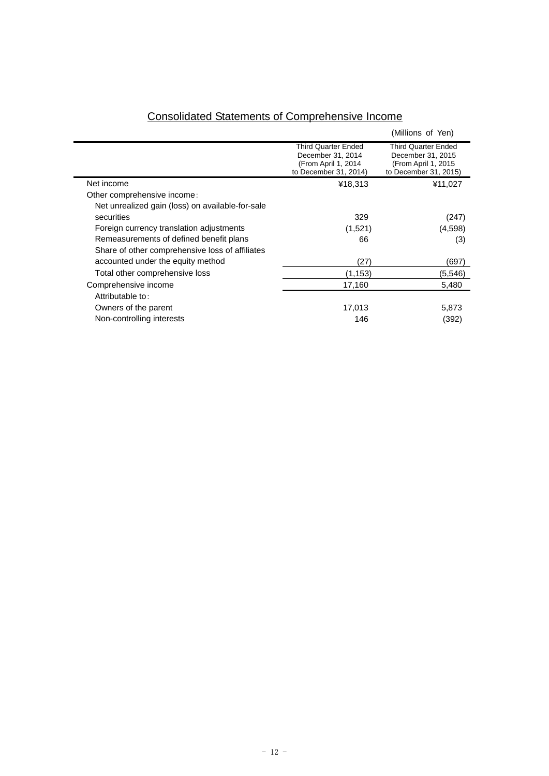|                                                  |                                                                                                 | (Millions of Yen)                                                                                |
|--------------------------------------------------|-------------------------------------------------------------------------------------------------|--------------------------------------------------------------------------------------------------|
|                                                  | <b>Third Quarter Ended</b><br>December 31, 2014<br>(From April 1, 2014<br>to December 31, 2014) | <b>Third Quarter Ended</b><br>December 31, 2015<br>(From April 1, 2015)<br>to December 31, 2015) |
| Net income                                       | ¥18,313                                                                                         | ¥11,027                                                                                          |
| Other comprehensive income:                      |                                                                                                 |                                                                                                  |
| Net unrealized gain (loss) on available-for-sale |                                                                                                 |                                                                                                  |
| securities                                       | 329                                                                                             | (247)                                                                                            |
| Foreign currency translation adjustments         | (1,521)                                                                                         | (4,598)                                                                                          |
| Remeasurements of defined benefit plans          | 66                                                                                              | (3)                                                                                              |
| Share of other comprehensive loss of affiliates  |                                                                                                 |                                                                                                  |
| accounted under the equity method                | (27)                                                                                            | (697)                                                                                            |
| Total other comprehensive loss                   | (1,153)                                                                                         | (5, 546)                                                                                         |
| Comprehensive income                             | 17,160                                                                                          | 5,480                                                                                            |
| Attributable to:                                 |                                                                                                 |                                                                                                  |
| Owners of the parent                             | 17,013                                                                                          | 5,873                                                                                            |
| Non-controlling interests                        | 146                                                                                             | (392)                                                                                            |

# Consolidated Statements of Comprehensive Income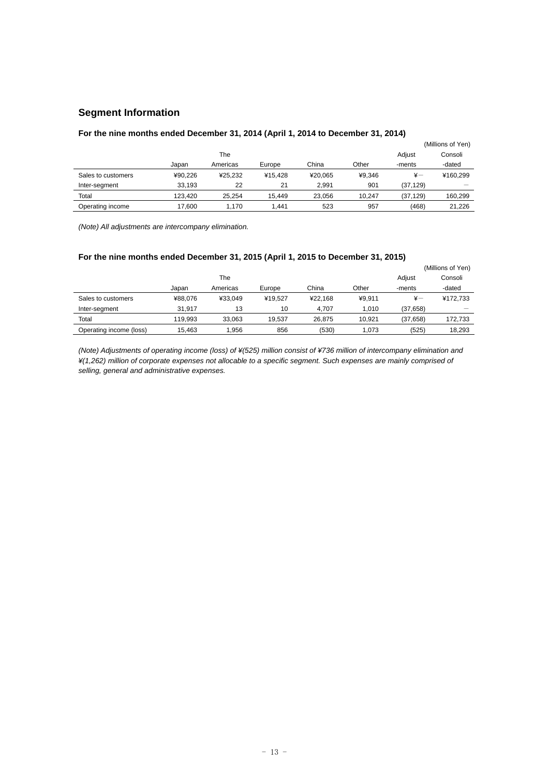# **Segment Information**

# **For the nine months ended December 31, 2014 (April 1, 2014 to December 31, 2014)**

|                    |         |          |         |         |        |              | (Millions of Yen) |
|--------------------|---------|----------|---------|---------|--------|--------------|-------------------|
|                    |         | The      |         |         |        | Adiust       | Consoli           |
|                    | Japan   | Americas | Europe  | China   | Other  | -ments       | -dated            |
| Sales to customers | ¥90.226 | ¥25.232  | ¥15.428 | ¥20.065 | ¥9.346 | $\ddot{x}$ — | ¥160.299          |
| Inter-segment      | 33.193  | 22       | 21      | 2.991   | 901    | (37, 129)    |                   |
| Total              | 123.420 | 25.254   | 15.449  | 23.056  | 10.247 | (37, 129)    | 160.299           |
| Operating income   | 17.600  | 1.170    | 1.441   | 523     | 957    | (468)        | 21.226            |

*(Note) All adjustments are intercompany elimination.* 

# **For the nine months ended December 31, 2015 (April 1, 2015 to December 31, 2015)**

|                         |         |          |         |         |        |              | (Millions of Yen) |
|-------------------------|---------|----------|---------|---------|--------|--------------|-------------------|
|                         |         | The      |         |         |        | Adjust       | Consoli           |
|                         | Japan   | Americas | Europe  | China   | Other  | -ments       | -dated            |
| Sales to customers      | ¥88.076 | ¥33.049  | ¥19.527 | ¥22.168 | ¥9.911 | $\ddot{x}$ — | ¥172.733          |
| Inter-segment           | 31.917  | 13       | 10      | 4.707   | 1.010  | (37.658)     |                   |
| Total                   | 119.993 | 33.063   | 19.537  | 26.875  | 10.921 | (37, 658)    | 172.733           |
| Operating income (loss) | 15.463  | 1.956    | 856     | (530)   | 1.073  | (525)        | 18.293            |

*(Note) Adjustments of operating income (loss) of ¥(525) million consist of ¥736 million of intercompany elimination and ¥(1,262) million of corporate expenses not allocable to a specific segment. Such expenses are mainly comprised of selling, general and administrative expenses.*